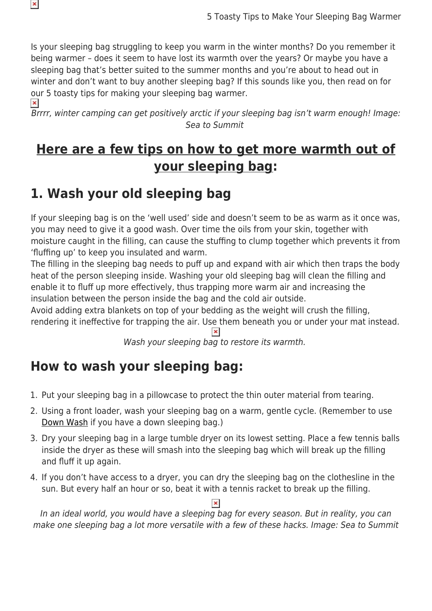Is your sleeping bag struggling to keep you warm in the winter months? Do you remember it being warmer – does it seem to have lost its warmth over the years? Or maybe you have a sleeping bag that's better suited to the summer months and you're about to head out in winter and don't want to buy another sleeping bag? If this sounds like you, then read on for our 5 toasty tips for making your sleeping bag warmer.  $\pmb{\times}$ 

Brrrr, winter camping can get positively arctic if your sleeping bag isn't warm enough! Image: Sea to Summit

## **Here are a few tips on how to get more warmth out of your sleeping bag:**

## **1. Wash your old sleeping bag**

 $\pmb{\times}$ 

If your sleeping bag is on the 'well used' side and doesn't seem to be as warm as it once was, you may need to give it a good wash. Over time the oils from your skin, together with moisture caught in the filling, can cause the stuffing to clump together which prevents it from 'fluffing up' to keep you insulated and warm.

The filling in the sleeping bag needs to puff up and expand with air which then traps the body heat of the person sleeping inside. Washing your old sleeping bag will clean the filling and enable it to fluff up more effectively, thus trapping more warm air and increasing the insulation between the person inside the bag and the cold air outside.

Avoid adding extra blankets on top of your bedding as the weight will crush the filling, rendering it ineffective for trapping the air. Use them beneath you or under your mat instead.

Wash your sleeping bag to restore its warmth.

## **How to wash your sleeping bag:**

- 1. Put your sleeping bag in a pillowcase to protect the thin outer material from tearing.
- 2. Using a front loader, wash your sleeping bag on a warm, gentle cycle. (Remember to use [Down Wash](https://www.snowys.com.au/down-wash) if you have a down sleeping bag.)
- 3. Dry your sleeping bag in a large tumble dryer on its lowest setting. Place a few tennis balls inside the dryer as these will smash into the sleeping bag which will break up the filling and fluff it up again.
- 4. If you don't have access to a dryer, you can dry the sleeping bag on the clothesline in the sun. But every half an hour or so, beat it with a tennis racket to break up the filling.

In an ideal world, you would have a sleeping bag for every season. But in reality, you can make one sleeping bag a lot more versatile with a few of these hacks. Image: Sea to Summit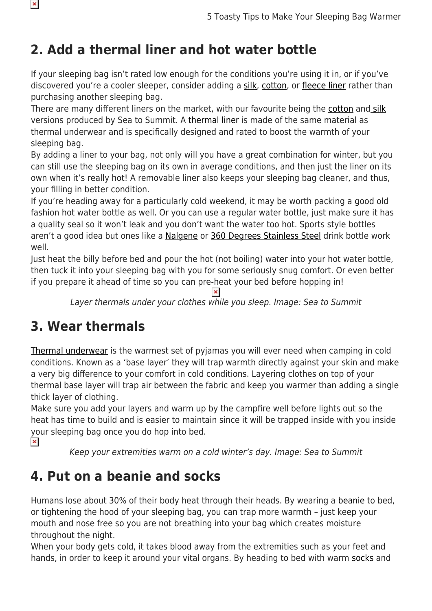# **2. Add a thermal liner and hot water bottle**

If your sleeping bag isn't rated low enough for the conditions you're using it in, or if you've discovered you're a cooler sleeper, consider adding a [silk,](https://www.snowys.com.au/sleeping-gear-accessories#/specFilters=5!#-!6!-#!23m!#-!60&pageSize=40&orderBy=-1&pageNumber=1) [cotton](https://www.snowys.com.au/sleeping-gear-accessories#/specFilters=5!#-!6!-#!23m!#-!258&pageSize=40&orderBy=-1&pageNumber=1), or [fleece liner](https://www.snowys.com.au/thermolite-reactor-liner) rather than purchasing another sleeping bag.

There are many different liners on the market, with our favourite being the [cotton](https://www.snowys.com.au/sleeping-gear-accessories#/specFilters=23m!#-!258&manFilters=6&pageSize=40&orderBy=-1&pageNumber=1) and [silk](https://www.snowys.com.au/sleeping-gear-accessories#/specFilters=23m!#-!60&manFilters=6&pageSize=40&orderBy=-1&pageNumber=1) versions produced by Sea to Summit. A [thermal liner](https://www.snowys.com.au/sleeping-gear-accessories#?pagenumber=1&pageSize=48&orderBy=0&specIds=97&brands=&type=6&colourSize=&priceRange=) is made of the same material as thermal underwear and is specifically designed and rated to boost the warmth of your sleeping bag.

By adding a liner to your bag, not only will you have a great combination for winter, but you can still use the sleeping bag on its own in average conditions, and then just the liner on its own when it's really hot! A removable liner also keeps your sleeping bag cleaner, and thus, your filling in better condition.

If you're heading away for a particularly cold weekend, it may be worth packing a good old fashion hot water bottle as well. Or you can use a regular water bottle, just make sure it has a quality seal so it won't leak and you don't want the water too hot. Sports style bottles aren't a good idea but ones like a [Nalgene](https://www.snowys.com.au/search?w=nalgene%20tritan) or [360 Degrees Stainless Steel](https://www.snowys.com.au/search?w=stainless%20steel%20360%20degrees%20drink%20bottle) drink bottle work well.

Just heat the billy before bed and pour the hot (not boiling) water into your hot water bottle, then tuck it into your sleeping bag with you for some seriously snug comfort. Or even better if you prepare it ahead of time so you can pre-heat your bed before hopping in!

 $\pmb{\times}$ 

Layer thermals under your clothes while you sleep. Image: Sea to Summit

## **3. Wear thermals**

[Thermal underwear](https://www.snowys.com.au/hiking-outdoor-thermals) is the warmest set of pyjamas you will ever need when camping in cold conditions. Known as a 'base layer' they will trap warmth directly against your skin and make a very big difference to your comfort in cold conditions. Layering clothes on top of your thermal base layer will trap air between the fabric and keep you warmer than adding a single thick layer of clothing.

Make sure you add your layers and warm up by the campfire well before lights out so the heat has time to build and is easier to maintain since it will be trapped inside with you inside your sleeping bag once you do hop into bed.

 $\pmb{\times}$ 

Keep your extremities warm on a cold winter's day. Image: Sea to Summit

#### **4. Put on a beanie and socks**

Humans lose about 30% of their body heat through their heads. By wearing a [beanie](https://www.snowys.com.au/hats-beanies-scarves#?pagenumber=1&pageSize=1000&orderBy=0&specIds=&brands=&type=3142&colourSize=&priceRange=) to bed, or tightening the hood of your sleeping bag, you can trap more warmth – just keep your mouth and nose free so you are not breathing into your bag which creates moisture throughout the night.

When your body gets cold, it takes blood away from the extremities such as your feet and hands, in order to keep it around your vital organs. By heading to bed with warm [socks](https://www.snowys.com.au/hiking-footwear-hiking-socks) and